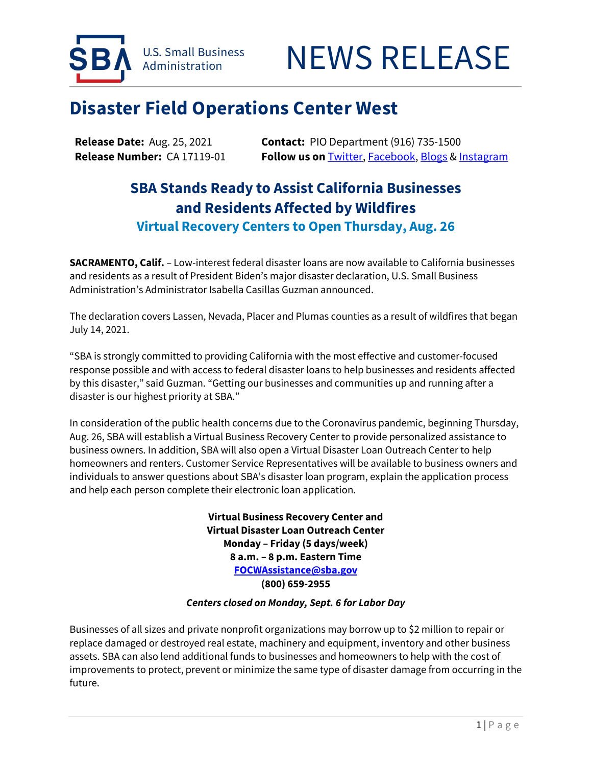



## **Disaster Field Operations Center West**

**Release Date:** Aug. 25, 2021 **Contact:** PIO Department (916) 735-1500 **Release Number:** CA 17119-01 **Follow us on** [Twitter,](http://www.twitter.com/SBAgov) [Facebook,](http://www.facebook.com/sbagov) [Blogs](http://www.sba.gov/blogs) & [Instagram](https://www.instagram.com/sbagov/)

## **SBA Stands Ready to Assist California Businesses and Residents Affected by Wildfires Virtual Recovery Centers to Open Thursday, Aug. 26**

**SACRAMENTO, Calif.** – Low-interest federal disaster loans are now available to California businesses and residents as a result of President Biden's major disaster declaration, U.S. Small Business Administration's Administrator Isabella Casillas Guzman announced.

The declaration covers Lassen, Nevada, Placer and Plumas counties as a result of wildfires that began July 14, 2021.

"SBA is strongly committed to providing California with the most effective and customer-focused response possible and with access to federal disaster loans to help businesses and residents affected by this disaster," said Guzman. "Getting our businesses and communities up and running after a disaster is our highest priority at SBA."

In consideration of the public health concerns due to the Coronavirus pandemic, beginning Thursday, Aug. 26, SBA will establish a Virtual Business Recovery Center to provide personalized assistance to business owners. In addition, SBA will also open a Virtual Disaster Loan Outreach Center to help homeowners and renters. Customer Service Representatives will be available to business owners and individuals to answer questions about SBA's disaster loan program, explain the application process and help each person complete their electronic loan application.

> **Virtual Business Recovery Center and Virtual Disaster Loan Outreach Center Monday – Friday (5 days/week) 8 a.m. – 8 p.m. Eastern Time [FOCWAssistance@sba.gov](mailto:FOCWAssistance@sba.gov) (800) 659-2955**

## *Centers closed on Monday, Sept. 6 for Labor Day*

Businesses of all sizes and private nonprofit organizations may borrow up to \$2 million to repair or replace damaged or destroyed real estate, machinery and equipment, inventory and other business assets. SBA can also lend additional funds to businesses and homeowners to help with the cost of improvements to protect, prevent or minimize the same type of disaster damage from occurring in the future.